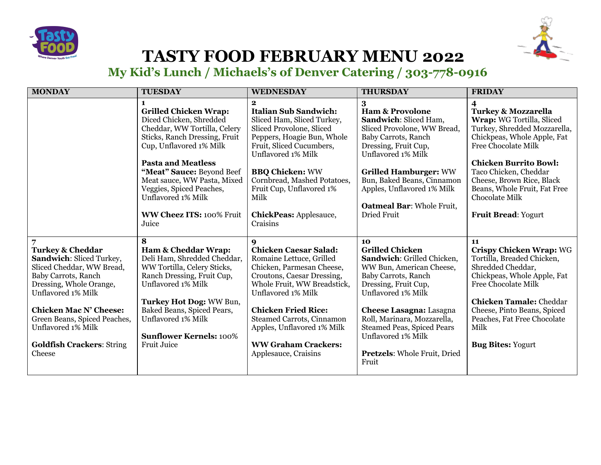



## **TASTY FOOD FEBRUARY MENU 2022**

**My Kid's Lunch / Michaels's of Denver Catering / 303-778-0916** 

| <b>MONDAY</b>                                                                                                                                                                                                                                                                                     | <b>TUESDAY</b>                                                                                                                                                                                                                                                                                                                                  | <b>WEDNESDAY</b>                                                                                                                                                                                                                                                                                                                    | <b>THURSDAY</b>                                                                                                                                                                                                                                                                                                                  | <b>FRIDAY</b>                                                                                                                                                                                                                                                                                                                |
|---------------------------------------------------------------------------------------------------------------------------------------------------------------------------------------------------------------------------------------------------------------------------------------------------|-------------------------------------------------------------------------------------------------------------------------------------------------------------------------------------------------------------------------------------------------------------------------------------------------------------------------------------------------|-------------------------------------------------------------------------------------------------------------------------------------------------------------------------------------------------------------------------------------------------------------------------------------------------------------------------------------|----------------------------------------------------------------------------------------------------------------------------------------------------------------------------------------------------------------------------------------------------------------------------------------------------------------------------------|------------------------------------------------------------------------------------------------------------------------------------------------------------------------------------------------------------------------------------------------------------------------------------------------------------------------------|
|                                                                                                                                                                                                                                                                                                   | 1<br><b>Grilled Chicken Wrap:</b><br>Diced Chicken, Shredded<br>Cheddar, WW Tortilla, Celery<br>Sticks, Ranch Dressing, Fruit<br>Cup, Unflavored 1% Milk<br><b>Pasta and Meatless</b><br>"Meat" Sauce: Beyond Beef<br>Meat sauce, WW Pasta, Mixed<br>Veggies, Spiced Peaches,<br>Unflavored 1% Milk<br><b>WW Cheez ITS: 100% Fruit</b><br>Juice | $\mathbf{2}$<br><b>Italian Sub Sandwich:</b><br>Sliced Ham, Sliced Turkey,<br>Sliced Provolone, Sliced<br>Peppers, Hoagie Bun, Whole<br>Fruit, Sliced Cucumbers,<br>Unflavored 1% Milk<br><b>BBQ Chicken: WW</b><br>Cornbread, Mashed Potatoes,<br>Fruit Cup, Unflavored 1%<br>Milk<br><b>ChickPeas: Applesauce,</b><br>Craisins    | 3<br><b>Ham &amp; Provolone</b><br>Sandwich: Sliced Ham,<br>Sliced Provolone, WW Bread,<br>Baby Carrots, Ranch<br>Dressing, Fruit Cup,<br>Unflavored 1% Milk<br><b>Grilled Hamburger: WW</b><br>Bun, Baked Beans, Cinnamon<br>Apples, Unflavored 1% Milk<br><b>Oatmeal Bar: Whole Fruit,</b><br>Dried Fruit                      | 4<br><b>Turkey &amp; Mozzarella</b><br>Wrap: WG Tortilla, Sliced<br>Turkey, Shredded Mozzarella,<br>Chickpeas, Whole Apple, Fat<br><b>Free Chocolate Milk</b><br><b>Chicken Burrito Bowl:</b><br>Taco Chicken, Cheddar<br>Cheese, Brown Rice, Black<br>Beans, Whole Fruit, Fat Free<br>Chocolate Milk<br>Fruit Bread: Yogurt |
| <b>Turkey &amp; Cheddar</b><br>Sandwich: Sliced Turkey,<br>Sliced Cheddar, WW Bread,<br>Baby Carrots, Ranch<br>Dressing, Whole Orange,<br>Unflavored 1% Milk<br><b>Chicken Mac N' Cheese:</b><br>Green Beans, Spiced Peaches,<br>Unflavored 1% Milk<br><b>Goldfish Crackers: String</b><br>Cheese | 8<br><b>Ham &amp; Cheddar Wrap:</b><br>Deli Ham, Shredded Cheddar,<br>WW Tortilla, Celery Sticks,<br>Ranch Dressing, Fruit Cup,<br>Unflavored 1% Milk<br>Turkey Hot Dog: WW Bun,<br>Baked Beans, Spiced Pears,<br>Unflavored 1% Milk<br><b>Sunflower Kernels: 100%</b><br>Fruit Juice                                                           | 9<br><b>Chicken Caesar Salad:</b><br>Romaine Lettuce, Grilled<br>Chicken, Parmesan Cheese,<br>Croutons, Caesar Dressing,<br>Whole Fruit, WW Breadstick,<br>Unflavored 1% Milk<br><b>Chicken Fried Rice:</b><br><b>Steamed Carrots, Cinnamon</b><br>Apples, Unflavored 1% Milk<br><b>WW Graham Crackers:</b><br>Applesauce, Craisins | 10<br><b>Grilled Chicken</b><br>Sandwich: Grilled Chicken,<br>WW Bun, American Cheese,<br>Baby Carrots, Ranch<br>Dressing, Fruit Cup,<br>Unflavored 1% Milk<br><b>Cheese Lasagna: Lasagna</b><br>Roll, Marinara, Mozzarella,<br><b>Steamed Peas, Spiced Pears</b><br>Unflavored 1% Milk<br>Pretzels: Whole Fruit, Dried<br>Fruit | 11<br><b>Crispy Chicken Wrap: WG</b><br>Tortilla, Breaded Chicken,<br>Shredded Cheddar,<br>Chickpeas, Whole Apple, Fat<br><b>Free Chocolate Milk</b><br><b>Chicken Tamale: Cheddar</b><br>Cheese, Pinto Beans, Spiced<br>Peaches, Fat Free Chocolate<br>Milk<br><b>Bug Bites: Yogurt</b>                                     |